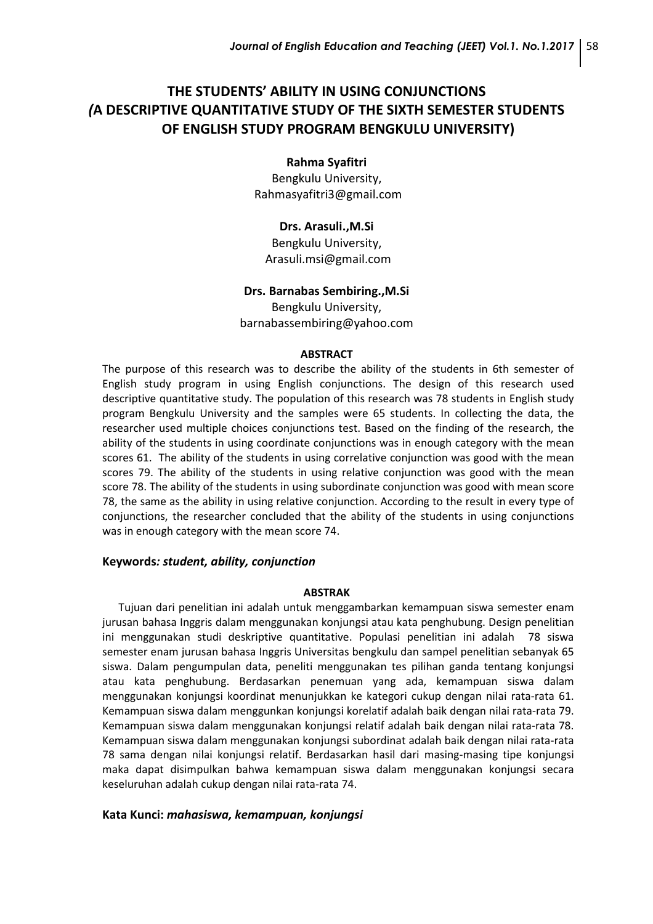# **THE STUDENTS' ABILITY IN USING CONJUNCTIONS** *(***A DESCRIPTIVE QUANTITATIVE STUDY OF THE SIXTH SEMESTER STUDENTS OF ENGLISH STUDY PROGRAM BENGKULU UNIVERSITY)**

#### **Rahma Syafitri**

Bengkulu University, [Rahmasyafitri3@gmail.com](mailto:Rahmasyafitri3@gmail.com)

**Drs. Arasuli.,M.Si** Bengkulu University, [Arasuli.msi@gmail.com](mailto:Arasuli.msi@gmail.com)

### **Drs. Barnabas Sembiring.,M.Si**

Bengkulu University, [barnabassembiring@yahoo.com](mailto:barnabassembiring@yahoo.com)

#### **ABSTRACT**

The purpose of this research was to describe the ability of the students in 6th semester of English study program in using English conjunctions. The design of this research used descriptive quantitative study. The population of this research was 78 students in English study program Bengkulu University and the samples were 65 students. In collecting the data, the researcher used multiple choices conjunctions test. Based on the finding of the research, the ability of the students in using coordinate conjunctions was in enough category with the mean scores 61. The ability of the students in using correlative conjunction was good with the mean scores 79. The ability of the students in using relative conjunction was good with the mean score 78. The ability of the students in using subordinate conjunction was good with mean score 78, the same as the ability in using relative conjunction. According to the result in every type of conjunctions, the researcher concluded that the ability of the students in using conjunctions was in enough category with the mean score 74.

### **Keywords***: student, ability, conjunction*

#### **ABSTRAK**

Tujuan dari penelitian ini adalah untuk menggambarkan kemampuan siswa semester enam jurusan bahasa Inggris dalam menggunakan konjungsi atau kata penghubung. Design penelitian ini menggunakan studi deskriptive quantitative. Populasi penelitian ini adalah 78 siswa semester enam jurusan bahasa Inggris Universitas bengkulu dan sampel penelitian sebanyak 65 siswa. Dalam pengumpulan data, peneliti menggunakan tes pilihan ganda tentang konjungsi atau kata penghubung. Berdasarkan penemuan yang ada, kemampuan siswa dalam menggunakan konjungsi koordinat menunjukkan ke kategori cukup dengan nilai rata-rata 61. Kemampuan siswa dalam menggunkan konjungsi korelatif adalah baik dengan nilai rata-rata 79. Kemampuan siswa dalam menggunakan konjungsi relatif adalah baik dengan nilai rata-rata 78. Kemampuan siswa dalam menggunakan konjungsi subordinat adalah baik dengan nilai rata-rata 78 sama dengan nilai konjungsi relatif. Berdasarkan hasil dari masing-masing tipe konjungsi maka dapat disimpulkan bahwa kemampuan siswa dalam menggunakan konjungsi secara keseluruhan adalah cukup dengan nilai rata-rata 74.

#### **Kata Kunci:** *mahasiswa, kemampuan, konjungsi*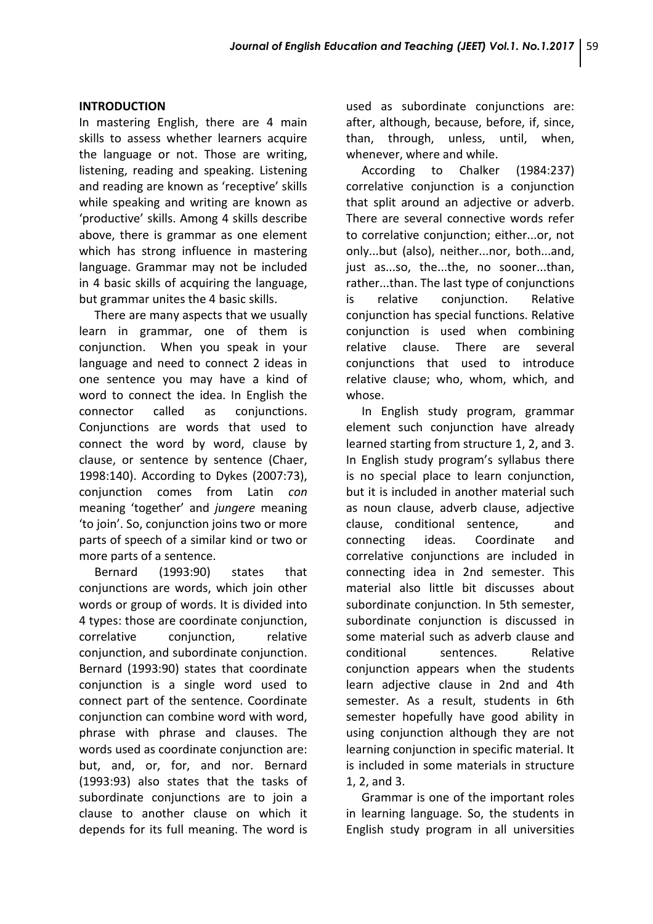## **INTRODUCTION**

In mastering English, there are 4 main skills to assess whether learners acquire the language or not. Those are writing, listening, reading and speaking. Listening and reading are known as 'receptive' skills while speaking and writing are known as 'productive' skills. Among 4 skills describe above, there is grammar as one element which has strong influence in mastering language. Grammar may not be included in 4 basic skills of acquiring the language, but grammar unites the 4 basic skills.

There are many aspects that we usually learn in grammar, one of them is conjunction. When you speak in your language and need to connect 2 ideas in one sentence you may have a kind of word to connect the idea. In English the connector called as conjunctions. Conjunctions are words that used to connect the word by word, clause by clause, or sentence by sentence (Chaer, 1998:140). According to Dykes (2007:73), conjunction comes from Latin *con* meaning 'together' and *jungere* meaning 'to join'. So, conjunction joins two or more parts of speech of a similar kind or two or more parts of a sentence.

Bernard (1993:90) states that conjunctions are words, which join other words or group of words. It is divided into 4 types: those are coordinate conjunction, correlative conjunction, relative conjunction, and subordinate conjunction. Bernard (1993:90) states that coordinate conjunction is a single word used to connect part of the sentence. Coordinate conjunction can combine word with word, phrase with phrase and clauses. The words used as coordinate conjunction are: but, and, or, for, and nor. Bernard (1993:93) also states that the tasks of subordinate conjunctions are to join a clause to another clause on which it depends for its full meaning. The word is used as subordinate conjunctions are: after, although, because, before, if, since, than, through, unless, until, when, whenever, where and while.

According to Chalker (1984:237) correlative conjunction is a conjunction that split around an adjective or adverb. There are several connective words refer to correlative conjunction; either...or, not only...but (also), neither...nor, both...and, just as...so, the...the, no sooner...than, rather...than. The last type of conjunctions is relative conjunction. Relative conjunction has special functions. Relative conjunction is used when combining relative clause. There are several conjunctions that used to introduce relative clause; who, whom, which, and whose.

In English study program, grammar element such conjunction have already learned starting from structure 1, 2, and 3. In English study program's syllabus there is no special place to learn conjunction, but it is included in another material such as noun clause, adverb clause, adjective clause, conditional sentence, and connecting ideas. Coordinate and correlative conjunctions are included in connecting idea in 2nd semester. This material also little bit discusses about subordinate conjunction. In 5th semester, subordinate conjunction is discussed in some material such as adverb clause and conditional sentences. Relative conjunction appears when the students learn adjective clause in 2nd and 4th semester. As a result, students in 6th semester hopefully have good ability in using conjunction although they are not learning conjunction in specific material. It is included in some materials in structure 1, 2, and 3.

Grammar is one of the important roles in learning language. So, the students in English study program in all universities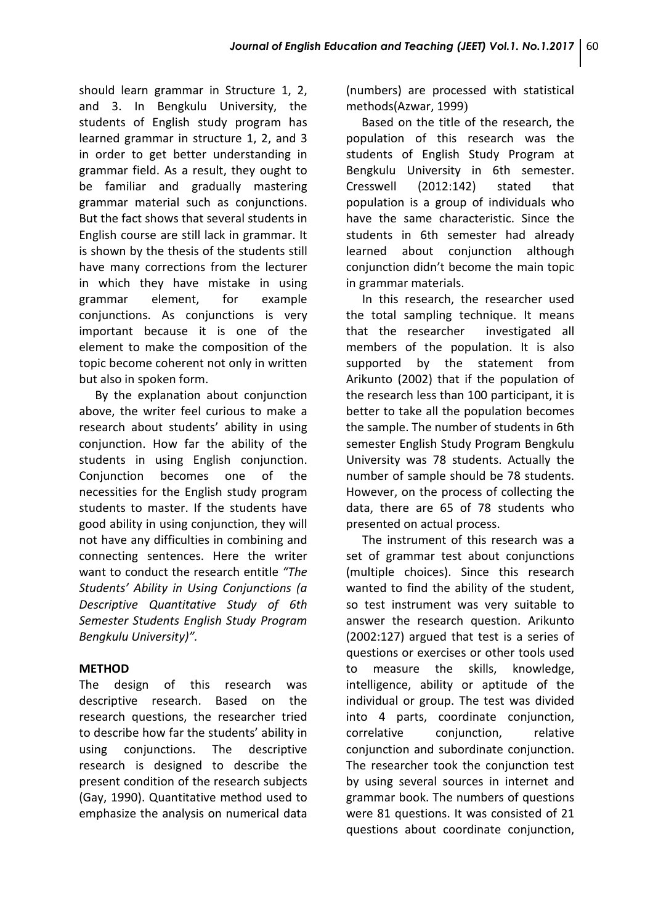should learn grammar in Structure 1, 2, and 3. In Bengkulu University, the students of English study program has learned grammar in structure 1, 2, and 3 in order to get better understanding in grammar field. As a result, they ought to be familiar and gradually mastering grammar material such as conjunctions. But the fact shows that several students in English course are still lack in grammar. It is shown by the thesis of the students still have many corrections from the lecturer in which they have mistake in using grammar element, for example conjunctions. As conjunctions is very important because it is one of the element to make the composition of the topic become coherent not only in written but also in spoken form.

By the explanation about conjunction above, the writer feel curious to make a research about students' ability in using conjunction. How far the ability of the students in using English conjunction. Conjunction becomes one of the necessities for the English study program students to master. If the students have good ability in using conjunction, they will not have any difficulties in combining and connecting sentences. Here the writer want to conduct the research entitle *"The Students' Ability in Using Conjunctions (a Descriptive Quantitative Study of 6th Semester Students English Study Program Bengkulu University)".*

# **METHOD**

The design of this research was descriptive research. Based on the research questions, the researcher tried to describe how far the students' ability in using conjunctions. The descriptive research is designed to describe the present condition of the research subjects (Gay, 1990). Quantitative method used to emphasize the analysis on numerical data (numbers) are processed with statistical methods(Azwar, 1999)

Based on the title of the research, the population of this research was the students of English Study Program at Bengkulu University in 6th semester. Cresswell (2012:142) stated that population is a group of individuals who have the same characteristic. Since the students in 6th semester had already learned about conjunction although conjunction didn't become the main topic in grammar materials.

In this research, the researcher used the total sampling technique. It means that the researcher investigated all members of the population. It is also supported by the statement from Arikunto (2002) that if the population of the research less than 100 participant, it is better to take all the population becomes the sample. The number of students in 6th semester English Study Program Bengkulu University was 78 students. Actually the number of sample should be 78 students. However, on the process of collecting the data, there are 65 of 78 students who presented on actual process.

The instrument of this research was a set of grammar test about conjunctions (multiple choices). Since this research wanted to find the ability of the student, so test instrument was very suitable to answer the research question. Arikunto (2002:127) argued that test is a series of questions or exercises or other tools used to measure the skills, knowledge, intelligence, ability or aptitude of the individual or group. The test was divided into 4 parts, coordinate conjunction, correlative conjunction, relative conjunction and subordinate conjunction. The researcher took the conjunction test by using several sources in internet and grammar book. The numbers of questions were 81 questions. It was consisted of 21 questions about coordinate conjunction,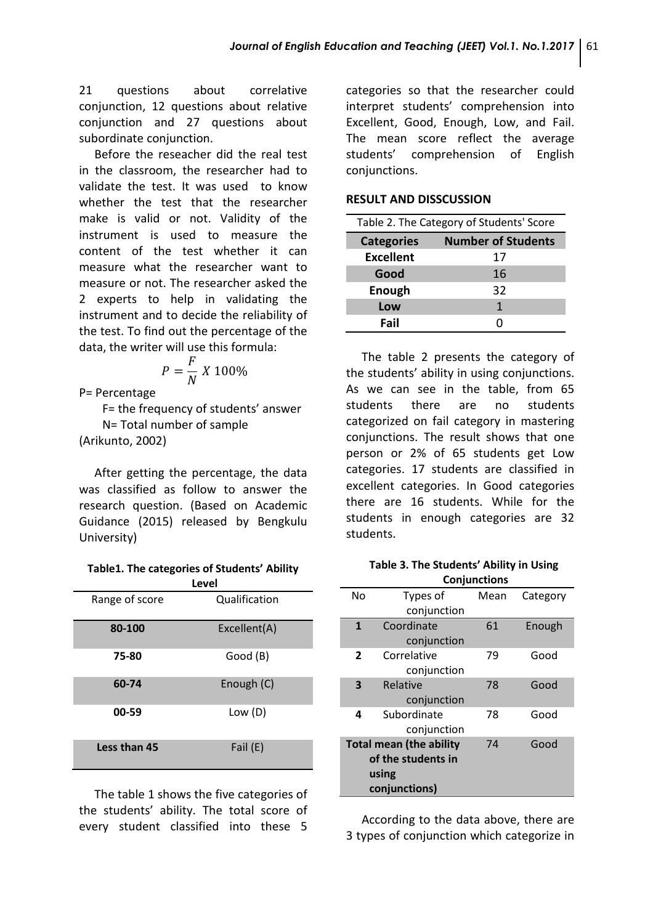21 questions about correlative conjunction, 12 questions about relative conjunction and 27 questions about subordinate conjunction.

Before the reseacher did the real test in the classroom, the researcher had to validate the test. It was used to know whether the test that the researcher make is valid or not. Validity of the instrument is used to measure the content of the test whether it can measure what the researcher want to measure or not. The researcher asked the 2 experts to help in validating the instrument and to decide the reliability of the test. To find out the percentage of the data, the writer will use this formula:

$$
P = \frac{F}{N} X 100\%
$$

P= Percentage

F= the frequency of students' answer

N= Total number of sample

(Arikunto, 2002)

After getting the percentage, the data was classified as follow to answer the research question. (Based on Academic Guidance (2015) released by Bengkulu University)

**Table1. The categories of Students' Ability Level**

| Range of score | Qualification |  |
|----------------|---------------|--|
| 80-100         | Excellent(A)  |  |
| 75-80          | Good (B)      |  |
| 60-74          | Enough (C)    |  |
| 00-59          | Low(D)        |  |
| Less than 45   | Fail (E)      |  |

The table 1 shows the five categories of the students' ability. The total score of every student classified into these 5 categories so that the researcher could interpret students' comprehension into Excellent, Good, Enough, Low, and Fail. The mean score reflect the average students' comprehension of English conjunctions.

### **RESULT AND DISSCUSSION**

| Table 2. The Category of Students' Score |                           |  |
|------------------------------------------|---------------------------|--|
| <b>Categories</b>                        | <b>Number of Students</b> |  |
| <b>Excellent</b>                         | 17                        |  |
| Good                                     | 16                        |  |
| Enough                                   | 32                        |  |
| Low                                      | 1                         |  |
| Fail                                     |                           |  |

The table 2 presents the category of the students' ability in using conjunctions. As we can see in the table, from 65 students there are no students categorized on fail category in mastering conjunctions. The result shows that one person or 2% of 65 students get Low categories. 17 students are classified in excellent categories. In Good categories there are 16 students. While for the students in enough categories are 32 students.

**Table 3. The Students' Ability in Using Conjunctions**

| No                             | Types of    | Mean | Category |  |  |
|--------------------------------|-------------|------|----------|--|--|
|                                | conjunction |      |          |  |  |
| 1                              | Coordinate  | 61   | Enough   |  |  |
|                                | conjunction |      |          |  |  |
| $\overline{2}$                 | Correlative | 79   | Good     |  |  |
|                                | conjunction |      |          |  |  |
| $\overline{\mathbf{3}}$        | Relative    | 78   | Good     |  |  |
|                                | conjunction |      |          |  |  |
| 4                              | Subordinate | 78   | Good     |  |  |
|                                | conjunction |      |          |  |  |
| <b>Total mean (the ability</b> |             | 74   | Good     |  |  |
| of the students in             |             |      |          |  |  |
| using                          |             |      |          |  |  |
| conjunctions)                  |             |      |          |  |  |

According to the data above, there are 3 types of conjunction which categorize in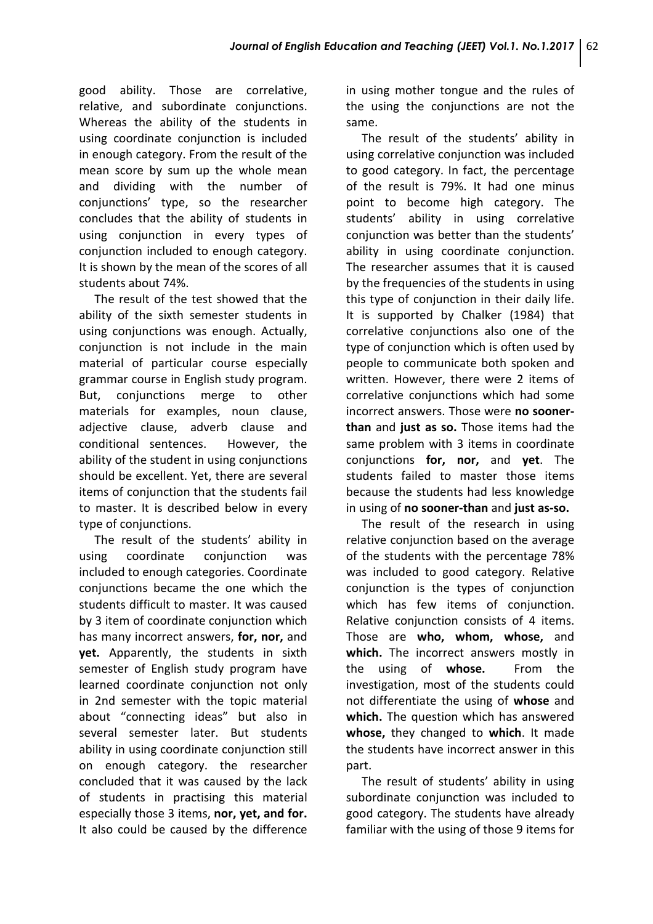good ability. Those are correlative, relative, and subordinate conjunctions. Whereas the ability of the students in using coordinate conjunction is included in enough category. From the result of the mean score by sum up the whole mean and dividing with the number of conjunctions' type, so the researcher concludes that the ability of students in using conjunction in every types of conjunction included to enough category. It is shown by the mean of the scores of all students about 74%.

The result of the test showed that the ability of the sixth semester students in using conjunctions was enough. Actually, conjunction is not include in the main material of particular course especially grammar course in English study program. But, conjunctions merge to other materials for examples, noun clause, adjective clause, adverb clause and conditional sentences. However, the ability of the student in using conjunctions should be excellent. Yet, there are several items of conjunction that the students fail to master. It is described below in every type of conjunctions.

The result of the students' ability in using coordinate conjunction was included to enough categories. Coordinate conjunctions became the one which the students difficult to master. It was caused by 3 item of coordinate conjunction which has many incorrect answers, **for, nor,** and **yet.** Apparently, the students in sixth semester of English study program have learned coordinate conjunction not only in 2nd semester with the topic material about "connecting ideas" but also in several semester later. But students ability in using coordinate conjunction still on enough category. the researcher concluded that it was caused by the lack of students in practising this material especially those 3 items, **nor, yet, and for.** It also could be caused by the difference in using mother tongue and the rules of the using the conjunctions are not the same.

The result of the students' ability in using correlative conjunction was included to good category. In fact, the percentage of the result is 79%. It had one minus point to become high category. The students' ability in using correlative conjunction was better than the students' ability in using coordinate conjunction. The researcher assumes that it is caused by the frequencies of the students in using this type of conjunction in their daily life. It is supported by Chalker (1984) that correlative conjunctions also one of the type of conjunction which is often used by people to communicate both spoken and written. However, there were 2 items of correlative conjunctions which had some incorrect answers. Those were **no soonerthan** and **just as so.** Those items had the same problem with 3 items in coordinate conjunctions **for, nor,** and **yet**. The students failed to master those items because the students had less knowledge in using of **no sooner-than** and **just as-so.**

The result of the research in using relative conjunction based on the average of the students with the percentage 78% was included to good category. Relative conjunction is the types of conjunction which has few items of conjunction. Relative conjunction consists of 4 items. Those are **who, whom, whose,** and **which.** The incorrect answers mostly in the using of **whose.** From the investigation, most of the students could not differentiate the using of **whose** and **which.** The question which has answered **whose,** they changed to **which**. It made the students have incorrect answer in this part.

The result of students' ability in using subordinate conjunction was included to good category. The students have already familiar with the using of those 9 items for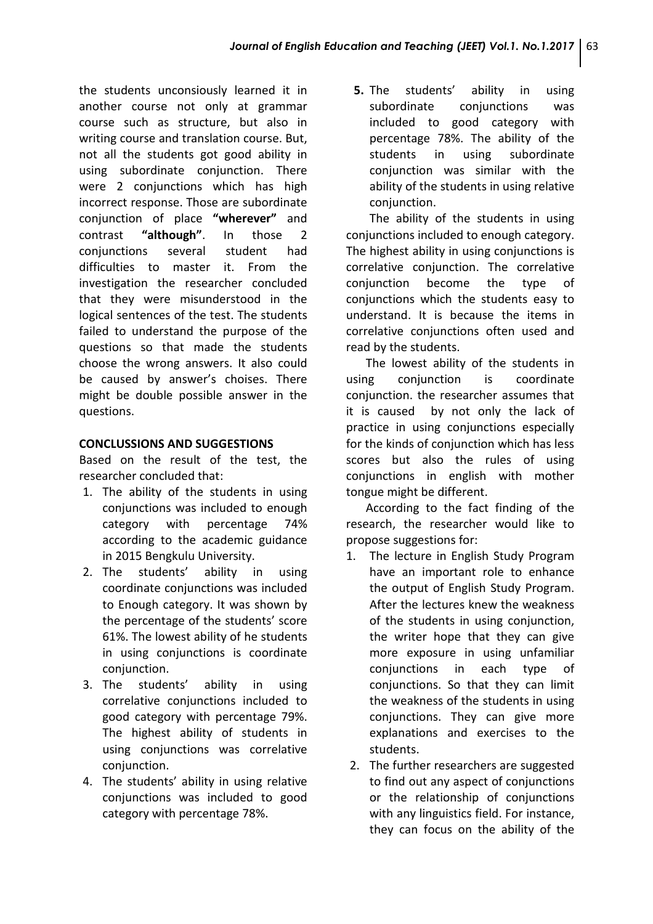the students unconsiously learned it in another course not only at grammar course such as structure, but also in writing course and translation course. But, not all the students got good ability in using subordinate conjunction. There were 2 conjunctions which has high incorrect response. Those are subordinate conjunction of place **"wherever"** and contrast **"although"**. In those 2 conjunctions several student had difficulties to master it. From the investigation the researcher concluded that they were misunderstood in the logical sentences of the test. The students failed to understand the purpose of the questions so that made the students choose the wrong answers. It also could be caused by answer's choises. There might be double possible answer in the questions.

# **CONCLUSSIONS AND SUGGESTIONS**

Based on the result of the test, the researcher concluded that:

- 1. The ability of the students in using conjunctions was included to enough category with percentage 74% according to the academic guidance in 2015 Bengkulu University.
- 2. The students' ability in using coordinate conjunctions was included to Enough category. It was shown by the percentage of the students' score 61%. The lowest ability of he students in using conjunctions is coordinate conjunction.
- 3. The students' ability in using correlative conjunctions included to good category with percentage 79%. The highest ability of students in using conjunctions was correlative conjunction.
- 4. The students' ability in using relative conjunctions was included to good category with percentage 78%.

**5.** The students' ability in using subordinate conjunctions was included to good category with percentage 78%. The ability of the students in using subordinate conjunction was similar with the ability of the students in using relative conjunction.

The ability of the students in using conjunctions included to enough category. The highest ability in using conjunctions is correlative conjunction. The correlative conjunction become the type of conjunctions which the students easy to understand. It is because the items in correlative conjunctions often used and read by the students.

The lowest ability of the students in using conjunction is coordinate conjunction. the researcher assumes that it is caused by not only the lack of practice in using conjunctions especially for the kinds of conjunction which has less scores but also the rules of using conjunctions in english with mother tongue might be different.

According to the fact finding of the research, the researcher would like to propose suggestions for:

- 1. The lecture in English Study Program have an important role to enhance the output of English Study Program. After the lectures knew the weakness of the students in using conjunction, the writer hope that they can give more exposure in using unfamiliar conjunctions in each type of conjunctions. So that they can limit the weakness of the students in using conjunctions. They can give more explanations and exercises to the students.
- 2. The further researchers are suggested to find out any aspect of conjunctions or the relationship of conjunctions with any linguistics field. For instance, they can focus on the ability of the